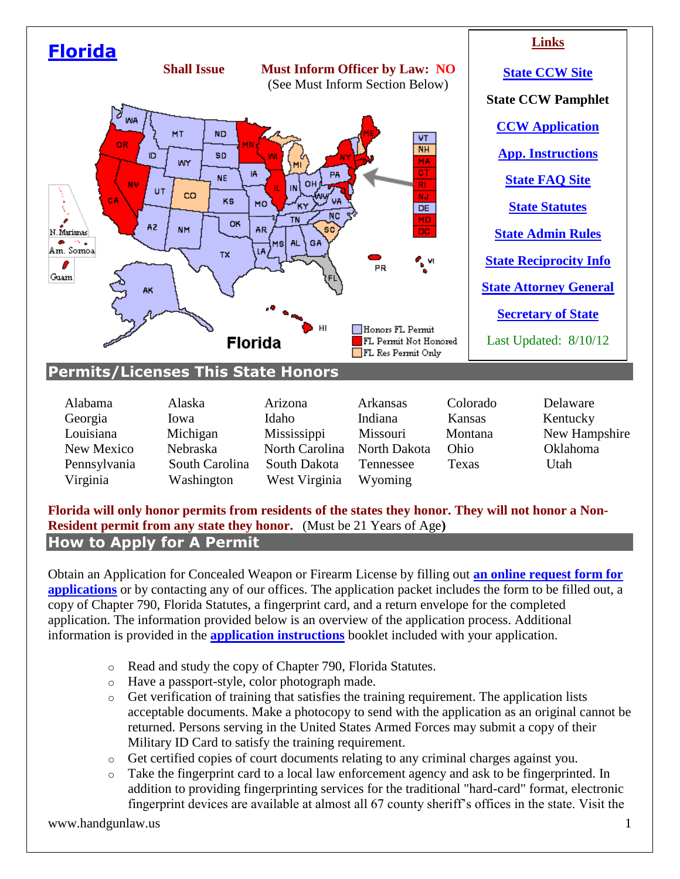

**Florida will only honor permits from residents of the states they honor. They will not honor a Non-Resident permit from any state they honor.** (Must be 21 Years of Age**) How to Apply for A Permit**

Obtain an Application for Concealed Weapon or Firearm License by filling out **[an online request form for](http://licgweb.doacs.state.fl.us/FORMS/FormsRequest790.html)  [applications](http://licgweb.doacs.state.fl.us/FORMS/FormsRequest790.html)** or by contacting any of our offices. The application packet includes the form to be filled out, a copy of Chapter 790, Florida Statutes, a fingerprint card, and a return envelope for the completed application. The information provided below is an overview of the application process. Additional information is provided in the **[application instructions](http://licgweb.doacs.state.fl.us/application_instructions/Concealed%20Weapon_ApplicationInstructions.pdf)** booklet included with your application.

- o Read and study the copy of Chapter 790, Florida Statutes.
- o Have a passport-style, color photograph made.

Virginia Washington West Virginia Wyoming

- $\circ$  Get verification of training that satisfies the training requirement. The application lists acceptable documents. Make a photocopy to send with the application as an original cannot be returned. Persons serving in the United States Armed Forces may submit a copy of their Military ID Card to satisfy the training requirement.
- o Get certified copies of court documents relating to any criminal charges against you.
- o Take the fingerprint card to a local law enforcement agency and ask to be fingerprinted. In addition to providing fingerprinting services for the traditional "hard-card" format, electronic fingerprint devices are available at almost all 67 county sheriff's offices in the state. Visit the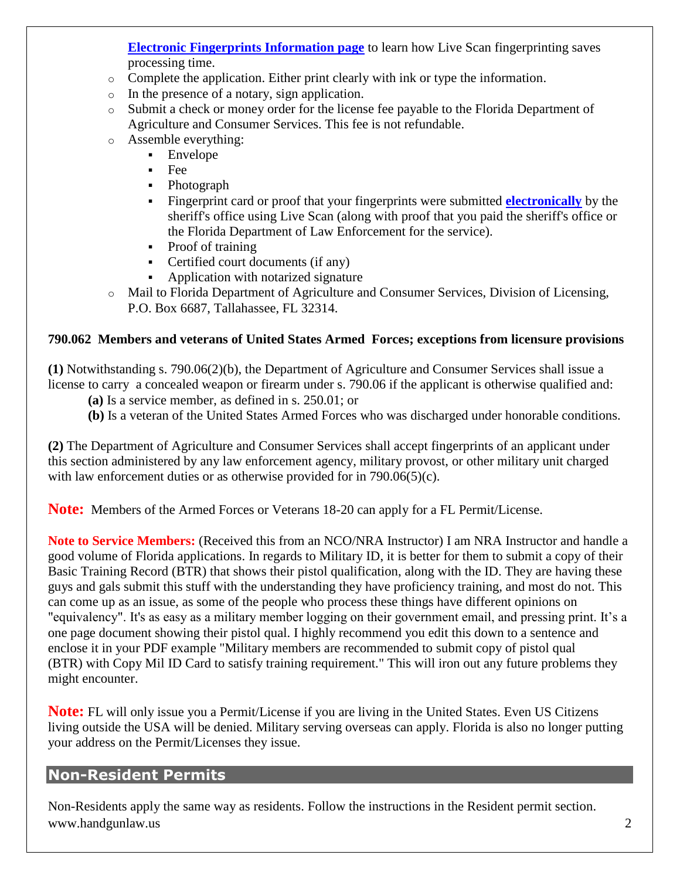**[Electronic Fingerprints Information page](http://licgweb.doacs.state.fl.us/CWCS/elecfingerprintinfo.html)** to learn how Live Scan fingerprinting saves processing time.

- o Complete the application. Either print clearly with ink or type the information.
- o In the presence of a notary, sign application.
- o Submit a check or money order for the license fee payable to the Florida Department of Agriculture and Consumer Services. This fee is not refundable.
- o Assemble everything:
	- **Envelope**
	- $\blacksquare$  Fee
	- Photograph
	- Fingerprint card or proof that your fingerprints were submitted **[electronically](http://licgweb.doacs.state.fl.us/CWCS/elecfingerprintinfo.html)** by the sheriff's office using Live Scan (along with proof that you paid the sheriff's office or the Florida Department of Law Enforcement for the service).
	- Proof of training
	- Certified court documents (if any)
	- Application with notarized signature
- o Mail to Florida Department of Agriculture and Consumer Services, Division of Licensing, P.O. Box 6687, Tallahassee, FL 32314.

## **790.062 Members and veterans of United States Armed Forces; exceptions from licensure provisions**

**(1)** Notwithstanding s. 790.06(2)(b), the Department of Agriculture and Consumer Services shall issue a license to carry a concealed weapon or firearm under s. 790.06 if the applicant is otherwise qualified and:

- **(a)** Is a service member, as defined in s. 250.01; or
- **(b)** Is a veteran of the United States Armed Forces who was discharged under honorable conditions.

**(2)** The Department of Agriculture and Consumer Services shall accept fingerprints of an applicant under this section administered by any law enforcement agency, military provost, or other military unit charged with law enforcement duties or as otherwise provided for in 790.06(5)(c).

**Note:** Members of the Armed Forces or Veterans 18-20 can apply for a FL Permit/License.

**Note to Service Members:** (Received this from an NCO/NRA Instructor) I am NRA Instructor and handle a good volume of Florida applications. In regards to Military ID, it is better for them to submit a copy of their Basic Training Record (BTR) that shows their pistol qualification, along with the ID. They are having these guys and gals submit this stuff with the understanding they have proficiency training, and most do not. This can come up as an issue, as some of the people who process these things have different opinions on "equivalency". It's as easy as a military member logging on their government email, and pressing print. It's a one page document showing their pistol qual. I highly recommend you edit this down to a sentence and enclose it in your PDF example "Military members are recommended to submit copy of pistol qual (BTR) with Copy Mil ID Card to satisfy training requirement." This will iron out any future problems they might encounter.

**Note:** FL will only issue you a Permit/License if you are living in the United States. Even US Citizens living outside the USA will be denied. Military serving overseas can apply. Florida is also no longer putting your address on the Permit/Licenses they issue.

# **Non-Resident Permits**

www.handgunlaw.us 2 Non-Residents apply the same way as residents. Follow the instructions in the Resident permit section.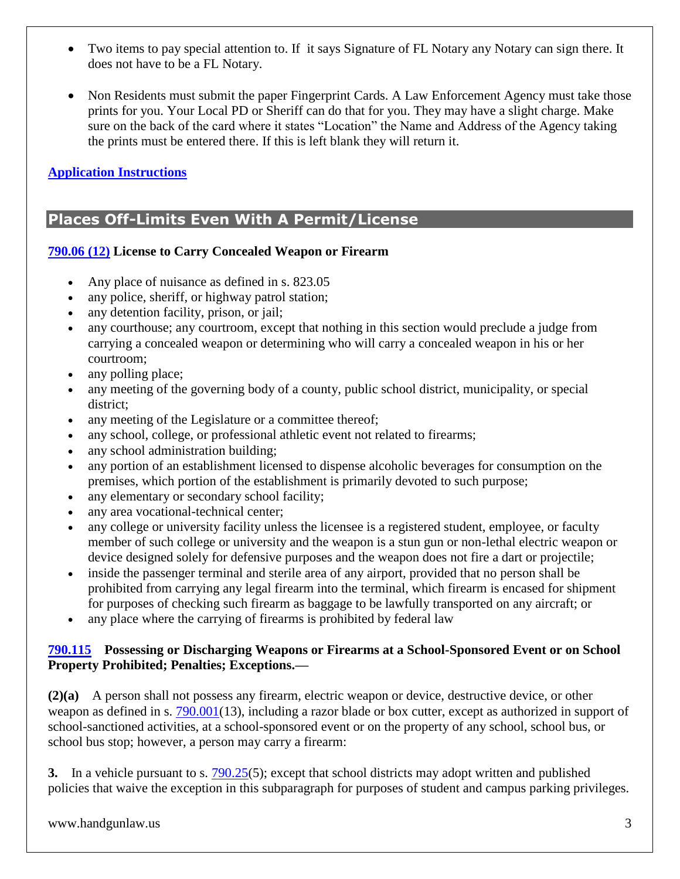- Two items to pay special attention to. If it says Signature of FL Notary any Notary can sign there. It does not have to be a FL Notary.
- Non Residents must submit the paper Fingerprint Cards. A Law Enforcement Agency must take those prints for you. Your Local PD or Sheriff can do that for you. They may have a slight charge. Make sure on the back of the card where it states "Location" the Name and Address of the Agency taking the prints must be entered there. If this is left blank they will return it.

# **[Application Instructions](http://licgweb.doacs.state.fl.us/FORMS/ConcealedWeaponLicenseApplicationInstructions.pdf)**

# **Places Off-Limits Even With A Permit/License**

## **[790.06 \(12\)](http://www.leg.state.fl.us/statutes/index.cfm?App_mode=Display_Statute&Search_String=&URL=0700-0799/0790/Sections/0790.06.html) License to Carry Concealed Weapon or Firearm**

- Any place of nuisance as defined in s. 823.05
- any police, sheriff, or highway patrol station;
- any detention facility, prison, or jail;
- any courthouse; any courtroom, except that nothing in this section would preclude a judge from carrying a concealed weapon or determining who will carry a concealed weapon in his or her courtroom;
- any polling place;
- any meeting of the governing body of a county, public school district, municipality, or special district;
- any meeting of the Legislature or a committee thereof;
- any school, college, or professional athletic event not related to firearms;
- any school administration building;
- any portion of an establishment licensed to dispense alcoholic beverages for consumption on the premises, which portion of the establishment is primarily devoted to such purpose;
- any elementary or secondary school facility;
- any area vocational-technical center;
- any college or university facility unless the licensee is a registered student, employee, or faculty member of such college or university and the weapon is a stun gun or non-lethal electric weapon or device designed solely for defensive purposes and the weapon does not fire a dart or projectile;
- inside the passenger terminal and sterile area of any airport, provided that no person shall be prohibited from carrying any legal firearm into the terminal, which firearm is encased for shipment for purposes of checking such firearm as baggage to be lawfully transported on any aircraft; or
- any place where the carrying of firearms is prohibited by federal law

## **[790.115](http://www.leg.state.fl.us/statutes/index.cfm?App_mode=Display_Statute&Search_String=&URL=0700-0799/0790/Sections/0790.115.html) Possessing or Discharging Weapons or Firearms at a School-Sponsored Event or on School Property Prohibited; Penalties; Exceptions.—**

**(2)(a)** A person shall not possess any firearm, electric weapon or device, destructive device, or other weapon as defined in s. [790.001\(](http://www.leg.state.fl.us/statutes/index.cfm?App_mode=Display_Statute&Search_String=&URL=0700-0799/0790/Sections/0790.001.html)13), including a razor blade or box cutter, except as authorized in support of school-sanctioned activities, at a school-sponsored event or on the property of any school, school bus, or school bus stop; however, a person may carry a firearm:

**3.** In a vehicle pursuant to s. [790.25\(](http://www.leg.state.fl.us/statutes/index.cfm?App_mode=Display_Statute&Search_String=&URL=0700-0799/0790/Sections/0790.25.html)5); except that school districts may adopt written and published policies that waive the exception in this subparagraph for purposes of student and campus parking privileges.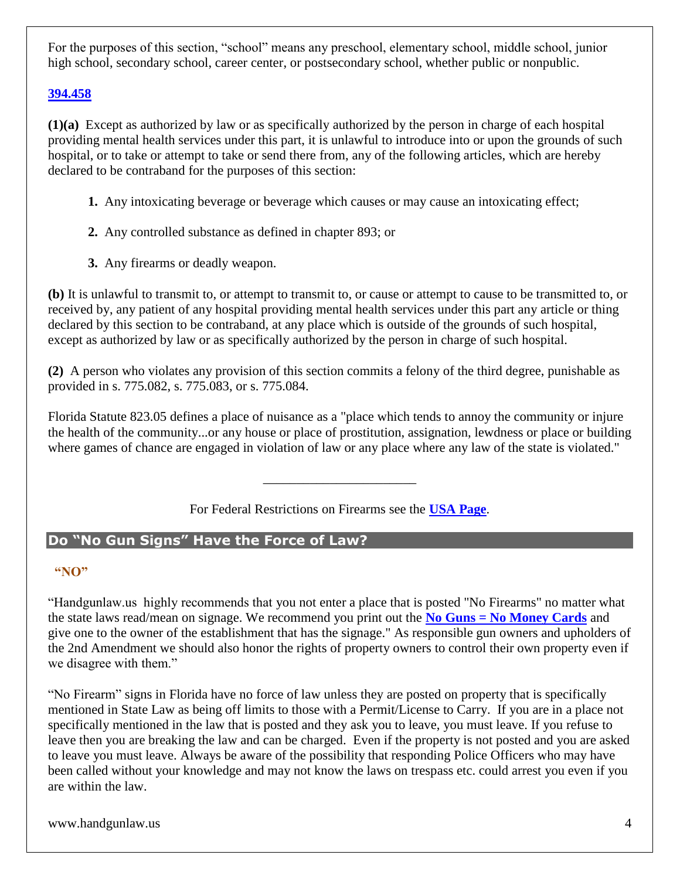For the purposes of this section, "school" means any preschool, elementary school, middle school, junior high school, secondary school, career center, or postsecondary school, whether public or nonpublic.

## **[394.458](http://www.leg.state.fl.us/statutes/index.cfm?App_mode=Display_Statute&Search_String=&URL=0300-0399/0394/Sections/0394.458.html)**

**(1)(a)** Except as authorized by law or as specifically authorized by the person in charge of each hospital providing mental health services under this part, it is unlawful to introduce into or upon the grounds of such hospital, or to take or attempt to take or send there from, any of the following articles, which are hereby declared to be contraband for the purposes of this section:

- **1.** Any intoxicating beverage or beverage which causes or may cause an intoxicating effect;
- **2.** Any controlled substance as defined in chapter 893; or
- **3.** Any firearms or deadly weapon.

**(b)** It is unlawful to transmit to, or attempt to transmit to, or cause or attempt to cause to be transmitted to, or received by, any patient of any hospital providing mental health services under this part any article or thing declared by this section to be contraband, at any place which is outside of the grounds of such hospital, except as authorized by law or as specifically authorized by the person in charge of such hospital.

**(2)** A person who violates any provision of this section commits a felony of the third degree, punishable as provided in s. 775.082, s. 775.083, or s. 775.084.

Florida Statute 823.05 defines a place of nuisance as a "place which tends to annoy the community or injure the health of the community...or any house or place of prostitution, assignation, lewdness or place or building where games of chance are engaged in violation of law or any place where any law of the state is violated."

#### For Federal Restrictions on Firearms see the **[USA Page](http://www.handgunlaw.us/states/usa.pdf)**.

\_\_\_\_\_\_\_\_\_\_\_\_\_\_\_\_\_\_\_\_\_\_\_

# **Do "No Gun Signs" Have the Force of Law?**

#### **"NO"**

"Handgunlaw.us highly recommends that you not enter a place that is posted "No Firearms" no matter what the state laws read/mean on signage. We recommend you print out the **[No Guns = No Money Cards](http://paopencarry.org/no-guns-no-money-cards)** and give one to the owner of the establishment that has the signage." As responsible gun owners and upholders of the 2nd Amendment we should also honor the rights of property owners to control their own property even if we disagree with them."

"No Firearm" signs in Florida have no force of law unless they are posted on property that is specifically mentioned in State Law as being off limits to those with a Permit/License to Carry. If you are in a place not specifically mentioned in the law that is posted and they ask you to leave, you must leave. If you refuse to leave then you are breaking the law and can be charged. Even if the property is not posted and you are asked to leave you must leave. Always be aware of the possibility that responding Police Officers who may have been called without your knowledge and may not know the laws on trespass etc. could arrest you even if you are within the law.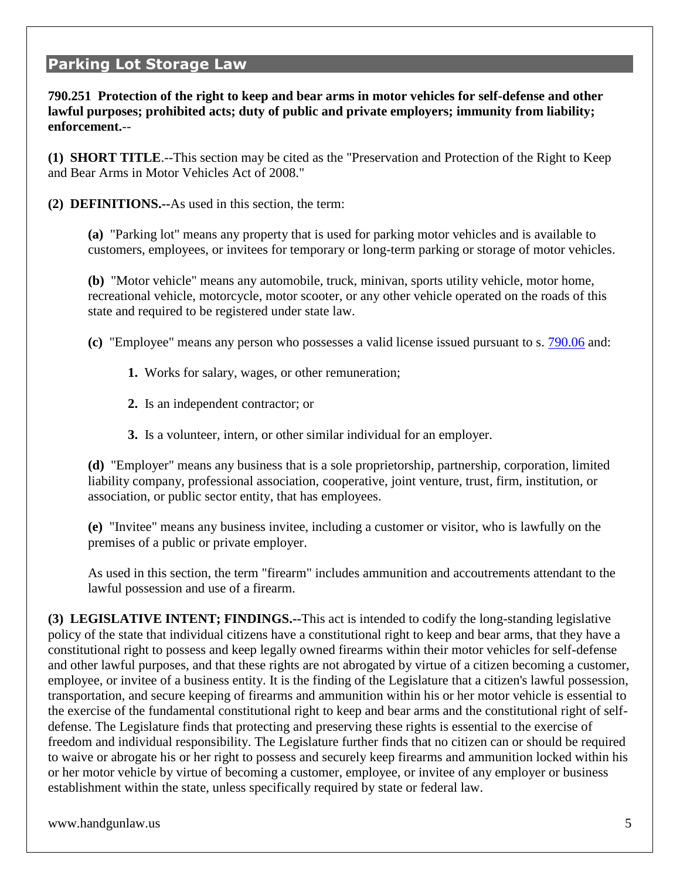# **Parking Lot Storage Law**

**790.251 Protection of the right to keep and bear arms in motor vehicles for self-defense and other lawful purposes; prohibited acts; duty of public and private employers; immunity from liability; enforcement.**--

**(1) SHORT TITLE**.--This section may be cited as the "Preservation and Protection of the Right to Keep and Bear Arms in Motor Vehicles Act of 2008."

**(2) DEFINITIONS.--**As used in this section, the term:

**(a)** "Parking lot" means any property that is used for parking motor vehicles and is available to customers, employees, or invitees for temporary or long-term parking or storage of motor vehicles.

**(b)** "Motor vehicle" means any automobile, truck, minivan, sports utility vehicle, motor home, recreational vehicle, motorcycle, motor scooter, or any other vehicle operated on the roads of this state and required to be registered under state law.

**(c)** "Employee" means any person who possesses a valid license issued pursuant to s. [790.06](http://www.leg.state.fl.us/statutes/index.cfm?App_mode=Display_Statute&Search_String=&URL=Ch0790/Sec06.HTM) and:

- **1.** Works for salary, wages, or other remuneration;
- **2.** Is an independent contractor; or
- **3.** Is a volunteer, intern, or other similar individual for an employer.

**(d)** "Employer" means any business that is a sole proprietorship, partnership, corporation, limited liability company, professional association, cooperative, joint venture, trust, firm, institution, or association, or public sector entity, that has employees.

**(e)** "Invitee" means any business invitee, including a customer or visitor, who is lawfully on the premises of a public or private employer.

As used in this section, the term "firearm" includes ammunition and accoutrements attendant to the lawful possession and use of a firearm.

**(3) LEGISLATIVE INTENT; FINDINGS.--**This act is intended to codify the long-standing legislative policy of the state that individual citizens have a constitutional right to keep and bear arms, that they have a constitutional right to possess and keep legally owned firearms within their motor vehicles for self-defense and other lawful purposes, and that these rights are not abrogated by virtue of a citizen becoming a customer, employee, or invitee of a business entity. It is the finding of the Legislature that a citizen's lawful possession, transportation, and secure keeping of firearms and ammunition within his or her motor vehicle is essential to the exercise of the fundamental constitutional right to keep and bear arms and the constitutional right of selfdefense. The Legislature finds that protecting and preserving these rights is essential to the exercise of freedom and individual responsibility. The Legislature further finds that no citizen can or should be required to waive or abrogate his or her right to possess and securely keep firearms and ammunition locked within his or her motor vehicle by virtue of becoming a customer, employee, or invitee of any employer or business establishment within the state, unless specifically required by state or federal law.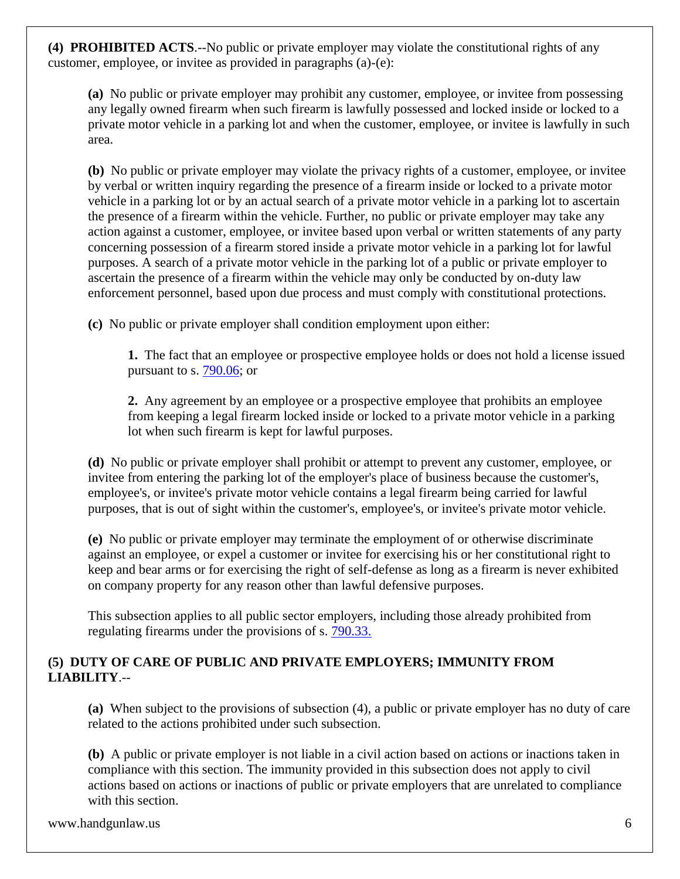**(4) PROHIBITED ACTS**.--No public or private employer may violate the constitutional rights of any customer, employee, or invitee as provided in paragraphs (a)-(e):

**(a)** No public or private employer may prohibit any customer, employee, or invitee from possessing any legally owned firearm when such firearm is lawfully possessed and locked inside or locked to a private motor vehicle in a parking lot and when the customer, employee, or invitee is lawfully in such area.

**(b)** No public or private employer may violate the privacy rights of a customer, employee, or invitee by verbal or written inquiry regarding the presence of a firearm inside or locked to a private motor vehicle in a parking lot or by an actual search of a private motor vehicle in a parking lot to ascertain the presence of a firearm within the vehicle. Further, no public or private employer may take any action against a customer, employee, or invitee based upon verbal or written statements of any party concerning possession of a firearm stored inside a private motor vehicle in a parking lot for lawful purposes. A search of a private motor vehicle in the parking lot of a public or private employer to ascertain the presence of a firearm within the vehicle may only be conducted by on-duty law enforcement personnel, based upon due process and must comply with constitutional protections.

**(c)** No public or private employer shall condition employment upon either:

**1.** The fact that an employee or prospective employee holds or does not hold a license issued pursuant to s.  $790.06$ ; or

**2.** Any agreement by an employee or a prospective employee that prohibits an employee from keeping a legal firearm locked inside or locked to a private motor vehicle in a parking lot when such firearm is kept for lawful purposes.

**(d)** No public or private employer shall prohibit or attempt to prevent any customer, employee, or invitee from entering the parking lot of the employer's place of business because the customer's, employee's, or invitee's private motor vehicle contains a legal firearm being carried for lawful purposes, that is out of sight within the customer's, employee's, or invitee's private motor vehicle.

**(e)** No public or private employer may terminate the employment of or otherwise discriminate against an employee, or expel a customer or invitee for exercising his or her constitutional right to keep and bear arms or for exercising the right of self-defense as long as a firearm is never exhibited on company property for any reason other than lawful defensive purposes.

This subsection applies to all public sector employers, including those already prohibited from regulating firearms under the provisions of s. [790.33.](http://www.leg.state.fl.us/statutes/index.cfm?App_mode=Display_Statute&Search_String=&URL=0700-0799/0790/Sections/0790.33.html)

## **(5) DUTY OF CARE OF PUBLIC AND PRIVATE EMPLOYERS; IMMUNITY FROM LIABILITY**.--

**(a)** When subject to the provisions of subsection (4), a public or private employer has no duty of care related to the actions prohibited under such subsection.

**(b)** A public or private employer is not liable in a civil action based on actions or inactions taken in compliance with this section. The immunity provided in this subsection does not apply to civil actions based on actions or inactions of public or private employers that are unrelated to compliance with this section.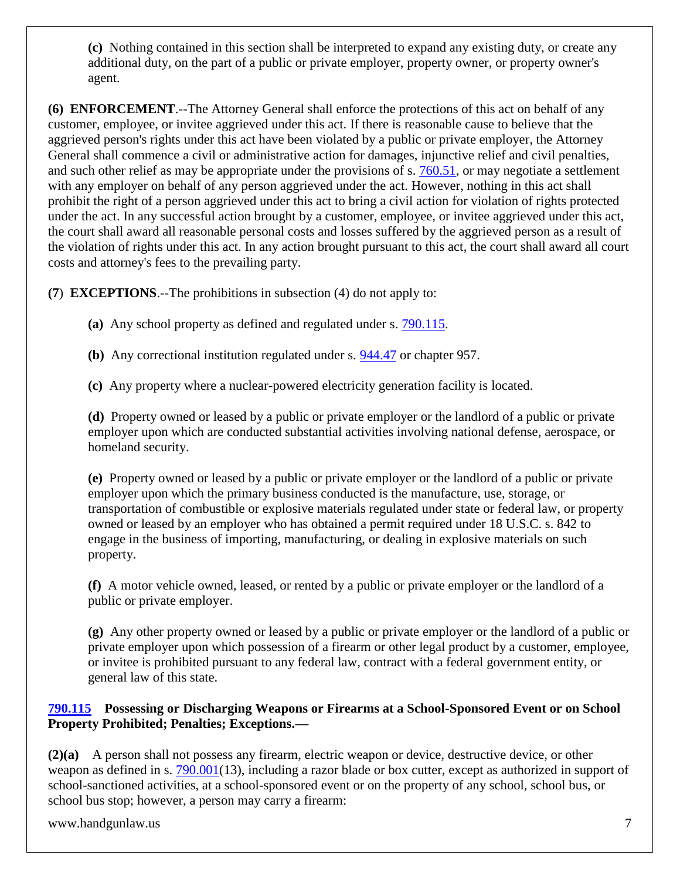**(c)** Nothing contained in this section shall be interpreted to expand any existing duty, or create any additional duty, on the part of a public or private employer, property owner, or property owner's agent.

**(6) ENFORCEMENT**.--The Attorney General shall enforce the protections of this act on behalf of any customer, employee, or invitee aggrieved under this act. If there is reasonable cause to believe that the aggrieved person's rights under this act have been violated by a public or private employer, the Attorney General shall commence a civil or administrative action for damages, injunctive relief and civil penalties, and such other relief as may be appropriate under the provisions of s.  $760.51$ , or may negotiate a settlement with any employer on behalf of any person aggrieved under the act. However, nothing in this act shall prohibit the right of a person aggrieved under this act to bring a civil action for violation of rights protected under the act. In any successful action brought by a customer, employee, or invitee aggrieved under this act, the court shall award all reasonable personal costs and losses suffered by the aggrieved person as a result of the violation of rights under this act. In any action brought pursuant to this act, the court shall award all court costs and attorney's fees to the prevailing party.

**(7**) **EXCEPTIONS**.--The prohibitions in subsection (4) do not apply to:

**(a)** Any school property as defined and regulated under s. [790.115.](http://www.leg.state.fl.us/statutes/index.cfm?App_mode=Display_Statute&Search_String=&URL=0700-0799/0790/Sections/0790.115.html)

**(b)** Any correctional institution regulated under s. [944.47](http://www.leg.state.fl.us/statutes/index.cfm?App_mode=Display_Statute&Search_String=&URL=0900-0999/0944/Sections/0944.47.html) or chapter 957.

**(c)** Any property where a nuclear-powered electricity generation facility is located.

**(d)** Property owned or leased by a public or private employer or the landlord of a public or private employer upon which are conducted substantial activities involving national defense, aerospace, or homeland security.

**(e)** Property owned or leased by a public or private employer or the landlord of a public or private employer upon which the primary business conducted is the manufacture, use, storage, or transportation of combustible or explosive materials regulated under state or federal law, or property owned or leased by an employer who has obtained a permit required under 18 U.S.C. s. 842 to engage in the business of importing, manufacturing, or dealing in explosive materials on such property.

**(f)** A motor vehicle owned, leased, or rented by a public or private employer or the landlord of a public or private employer.

**(g)** Any other property owned or leased by a public or private employer or the landlord of a public or private employer upon which possession of a firearm or other legal product by a customer, employee, or invitee is prohibited pursuant to any federal law, contract with a federal government entity, or general law of this state.

## **[790.115](http://www.leg.state.fl.us/statutes/index.cfm?App_mode=Display_Statute&Search_String=&URL=0700-0799/0790/Sections/0790.115.html) Possessing or Discharging Weapons or Firearms at a School-Sponsored Event or on School Property Prohibited; Penalties; Exceptions.—**

**(2)(a)** A person shall not possess any firearm, electric weapon or device, destructive device, or other weapon as defined in s. [790.001\(](http://www.leg.state.fl.us/statutes/index.cfm?App_mode=Display_Statute&Search_String=&URL=0700-0799/0790/Sections/0790.001.html)13), including a razor blade or box cutter, except as authorized in support of school-sanctioned activities, at a school-sponsored event or on the property of any school, school bus, or school bus stop; however, a person may carry a firearm: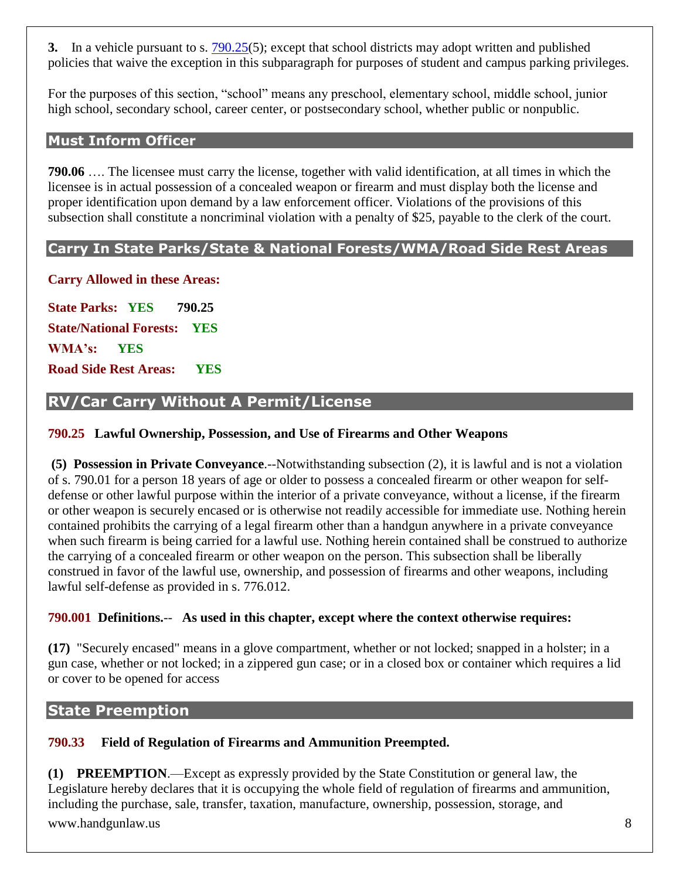**3.** In a vehicle pursuant to s. [790.25\(](http://www.leg.state.fl.us/statutes/index.cfm?App_mode=Display_Statute&Search_String=&URL=0700-0799/0790/Sections/0790.25.html)5); except that school districts may adopt written and published policies that waive the exception in this subparagraph for purposes of student and campus parking privileges.

For the purposes of this section, "school" means any preschool, elementary school, middle school, junior high school, secondary school, career center, or postsecondary school, whether public or nonpublic.

# **Must Inform Officer**

**790.06** …. The licensee must carry the license, together with valid identification, at all times in which the licensee is in actual possession of a concealed weapon or firearm and must display both the license and proper identification upon demand by a law enforcement officer. Violations of the provisions of this subsection shall constitute a noncriminal violation with a penalty of \$25, payable to the clerk of the court.

# **Carry In State Parks/State & National Forests/WMA/Road Side Rest Areas**

**Carry Allowed in these Areas:**

**State Parks: YES 790.25 State/National Forests: YES WMA's: YES Road Side Rest Areas: YES**

# **RV/Car Carry Without A Permit/License**

# **790.25 Lawful Ownership, Possession, and Use of Firearms and Other Weapons**

**(5) Possession in Private Conveyance**.--Notwithstanding subsection (2), it is lawful and is not a violation of s. 790.01 for a person 18 years of age or older to possess a concealed firearm or other weapon for selfdefense or other lawful purpose within the interior of a private conveyance, without a license, if the firearm or other weapon is securely encased or is otherwise not readily accessible for immediate use. Nothing herein contained prohibits the carrying of a legal firearm other than a handgun anywhere in a private conveyance when such firearm is being carried for a lawful use. Nothing herein contained shall be construed to authorize the carrying of a concealed firearm or other weapon on the person. This subsection shall be liberally construed in favor of the lawful use, ownership, and possession of firearms and other weapons, including lawful self-defense as provided in s. 776.012.

# **790.001 Definitions.**-- **As used in this chapter, except where the context otherwise requires:**

**(17)** "Securely encased" means in a glove compartment, whether or not locked; snapped in a holster; in a gun case, whether or not locked; in a zippered gun case; or in a closed box or container which requires a lid or cover to be opened for access

# **State Preemption**

#### **790.33 Field of Regulation of Firearms and Ammunition Preempted.**

www.handgunlaw.us 8 **(1) PREEMPTION**.—Except as expressly provided by the State Constitution or general law, the Legislature hereby declares that it is occupying the whole field of regulation of firearms and ammunition, including the purchase, sale, transfer, taxation, manufacture, ownership, possession, storage, and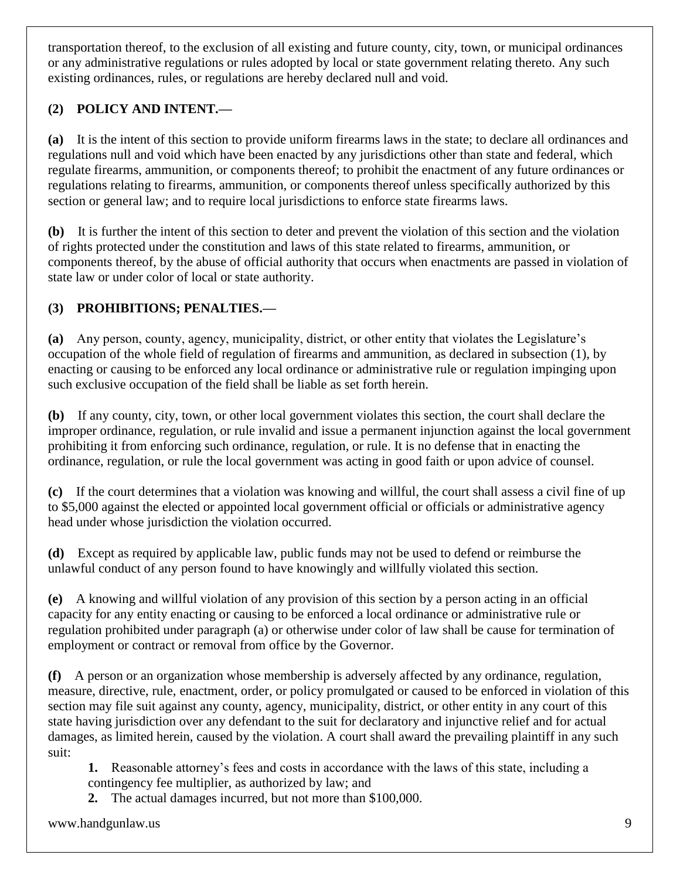transportation thereof, to the exclusion of all existing and future county, city, town, or municipal ordinances or any administrative regulations or rules adopted by local or state government relating thereto. Any such existing ordinances, rules, or regulations are hereby declared null and void.

# **(2) POLICY AND INTENT.—**

**(a)** It is the intent of this section to provide uniform firearms laws in the state; to declare all ordinances and regulations null and void which have been enacted by any jurisdictions other than state and federal, which regulate firearms, ammunition, or components thereof; to prohibit the enactment of any future ordinances or regulations relating to firearms, ammunition, or components thereof unless specifically authorized by this section or general law; and to require local jurisdictions to enforce state firearms laws.

**(b)** It is further the intent of this section to deter and prevent the violation of this section and the violation of rights protected under the constitution and laws of this state related to firearms, ammunition, or components thereof, by the abuse of official authority that occurs when enactments are passed in violation of state law or under color of local or state authority.

# **(3) PROHIBITIONS; PENALTIES.—**

**(a)** Any person, county, agency, municipality, district, or other entity that violates the Legislature's occupation of the whole field of regulation of firearms and ammunition, as declared in subsection (1), by enacting or causing to be enforced any local ordinance or administrative rule or regulation impinging upon such exclusive occupation of the field shall be liable as set forth herein.

**(b)** If any county, city, town, or other local government violates this section, the court shall declare the improper ordinance, regulation, or rule invalid and issue a permanent injunction against the local government prohibiting it from enforcing such ordinance, regulation, or rule. It is no defense that in enacting the ordinance, regulation, or rule the local government was acting in good faith or upon advice of counsel.

**(c)** If the court determines that a violation was knowing and willful, the court shall assess a civil fine of up to \$5,000 against the elected or appointed local government official or officials or administrative agency head under whose jurisdiction the violation occurred.

**(d)** Except as required by applicable law, public funds may not be used to defend or reimburse the unlawful conduct of any person found to have knowingly and willfully violated this section.

**(e)** A knowing and willful violation of any provision of this section by a person acting in an official capacity for any entity enacting or causing to be enforced a local ordinance or administrative rule or regulation prohibited under paragraph (a) or otherwise under color of law shall be cause for termination of employment or contract or removal from office by the Governor.

**(f)** A person or an organization whose membership is adversely affected by any ordinance, regulation, measure, directive, rule, enactment, order, or policy promulgated or caused to be enforced in violation of this section may file suit against any county, agency, municipality, district, or other entity in any court of this state having jurisdiction over any defendant to the suit for declaratory and injunctive relief and for actual damages, as limited herein, caused by the violation. A court shall award the prevailing plaintiff in any such suit:

**1.** Reasonable attorney's fees and costs in accordance with the laws of this state, including a contingency fee multiplier, as authorized by law; and

**2.** The actual damages incurred, but not more than \$100,000.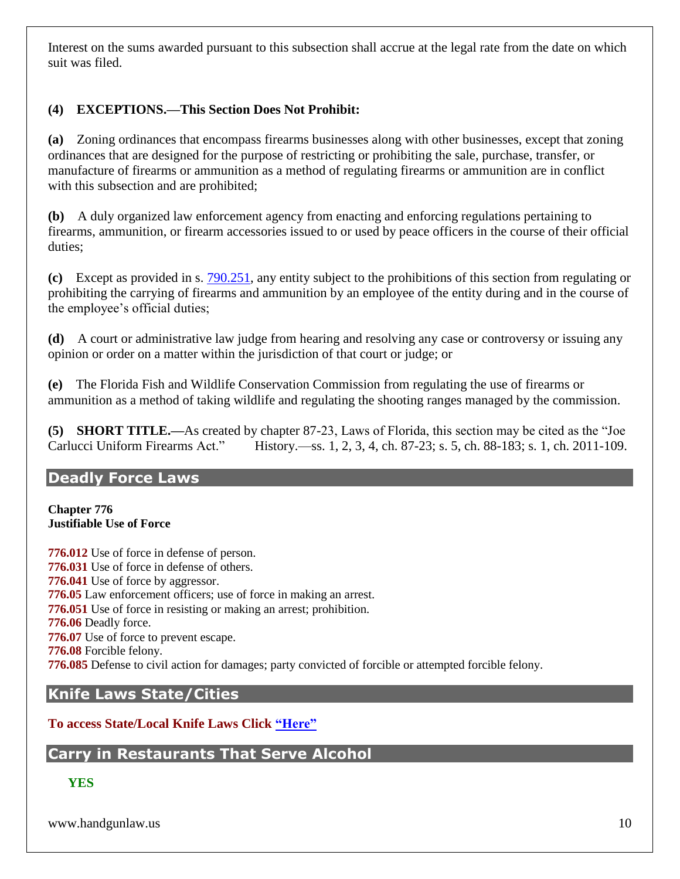Interest on the sums awarded pursuant to this subsection shall accrue at the legal rate from the date on which suit was filed.

# **(4) EXCEPTIONS.—This Section Does Not Prohibit:**

**(a)** Zoning ordinances that encompass firearms businesses along with other businesses, except that zoning ordinances that are designed for the purpose of restricting or prohibiting the sale, purchase, transfer, or manufacture of firearms or ammunition as a method of regulating firearms or ammunition are in conflict with this subsection and are prohibited;

**(b)** A duly organized law enforcement agency from enacting and enforcing regulations pertaining to firearms, ammunition, or firearm accessories issued to or used by peace officers in the course of their official duties;

**(c)** Except as provided in s. [790.251,](http://www.leg.state.fl.us/statutes/index.cfm?App_mode=Display_Statute&Search_String=&URL=0700-0799/0790/Sections/0790.251.html) any entity subject to the prohibitions of this section from regulating or prohibiting the carrying of firearms and ammunition by an employee of the entity during and in the course of the employee's official duties;

**(d)** A court or administrative law judge from hearing and resolving any case or controversy or issuing any opinion or order on a matter within the jurisdiction of that court or judge; or

**(e)** The Florida Fish and Wildlife Conservation Commission from regulating the use of firearms or ammunition as a method of taking wildlife and regulating the shooting ranges managed by the commission.

**(5) SHORT TITLE.—**As created by chapter 87-23, Laws of Florida, this section may be cited as the "Joe Carlucci Uniform Firearms Act." History.—ss. 1, 2, 3, 4, ch. 87-23; s. 5, ch. 88-183; s. 1, ch. 2011-109.

# **Deadly Force Laws**

#### **Chapter 776 Justifiable Use of Force**

**776.012** Use of force in defense of person. **776.031** Use of force in defense of others. **776.041** Use of force by aggressor. **776.05** Law enforcement officers; use of force in making an arrest. **776.051** Use of force in resisting or making an arrest; prohibition. **776.06** Deadly force. **776.07** Use of force to prevent escape. **776.08** Forcible felony. **776.085** Defense to civil action for damages; party convicted of forcible or attempted forcible felony.

# **Knife Laws State/Cities**

# **To access State/Local Knife Laws Click ["Here"](http://www.handgunlaw.us/documents/USKnife.pdf)**

# **Carry in Restaurants That Serve Alcohol**

# **YES**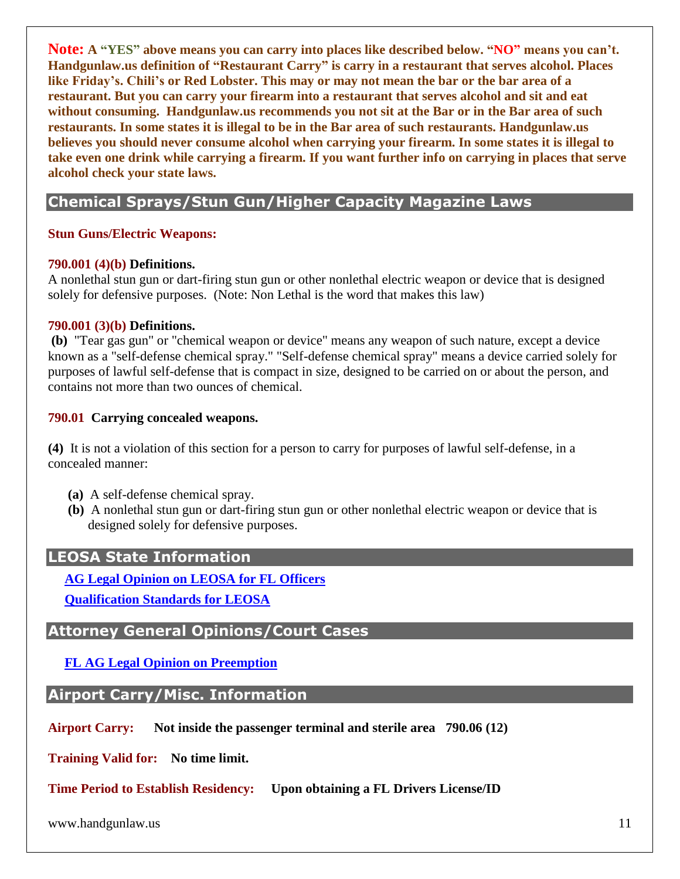**Note: A "YES" above means you can carry into places like described below. "NO" means you can't. Handgunlaw.us definition of "Restaurant Carry" is carry in a restaurant that serves alcohol. Places like Friday's. Chili's or Red Lobster. This may or may not mean the bar or the bar area of a restaurant. But you can carry your firearm into a restaurant that serves alcohol and sit and eat without consuming. Handgunlaw.us recommends you not sit at the Bar or in the Bar area of such restaurants. In some states it is illegal to be in the Bar area of such restaurants. Handgunlaw.us believes you should never consume alcohol when carrying your firearm. In some states it is illegal to take even one drink while carrying a firearm. If you want further info on carrying in places that serve alcohol check your state laws.** 

# **Chemical Sprays/Stun Gun/Higher Capacity Magazine Laws**

#### **Stun Guns/Electric Weapons:**

#### **790.001 (4)(b) Definitions.**

A nonlethal stun gun or dart-firing stun gun or other nonlethal electric weapon or device that is designed solely for defensive purposes. (Note: Non Lethal is the word that makes this law)

#### **790.001 (3)(b) Definitions.**

**(b)** "Tear gas gun" or "chemical weapon or device" means any weapon of such nature, except a device known as a "self-defense chemical spray." "Self-defense chemical spray" means a device carried solely for purposes of lawful self-defense that is compact in size, designed to be carried on or about the person, and contains not more than two ounces of chemical.

#### **790.01 Carrying concealed weapons.**

**(4)** It is not a violation of this section for a person to carry for purposes of lawful self-defense, in a concealed manner:

- **(a)** A self-defense chemical spray.
- **(b)** A nonlethal stun gun or dart-firing stun gun or other nonlethal electric weapon or device that is designed solely for defensive purposes.

# **LEOSA State Information**

 **[AG Legal Opinion on LEOSA for FL Officers](http://myfloridalegal.com/ago.nsf/Opinions/8A29E0CCF38D52DC85257052004EE847)**

 **[Qualification Standards for LEOSA](http://www.fdle.state.fl.us/Content/getdoc/5909ffff-35dc-4444-b420-bcfa3a823a55/CJSTC-086A-Jan09Cmtg-W-O-RevMarks.aspx)**

# **Attorney General Opinions/Court Cases**

**[FL AG Legal Opinion on Preemption](http://www.handgunlaw.us/documents/agopinions/FLAGOpPreemption.pdf)**

**Airport Carry/Misc. Information**

**Airport Carry: Not inside the passenger terminal and sterile area 790.06 (12)**

**Training Valid for: No time limit.**

**Time Period to Establish Residency: Upon obtaining a FL Drivers License/ID**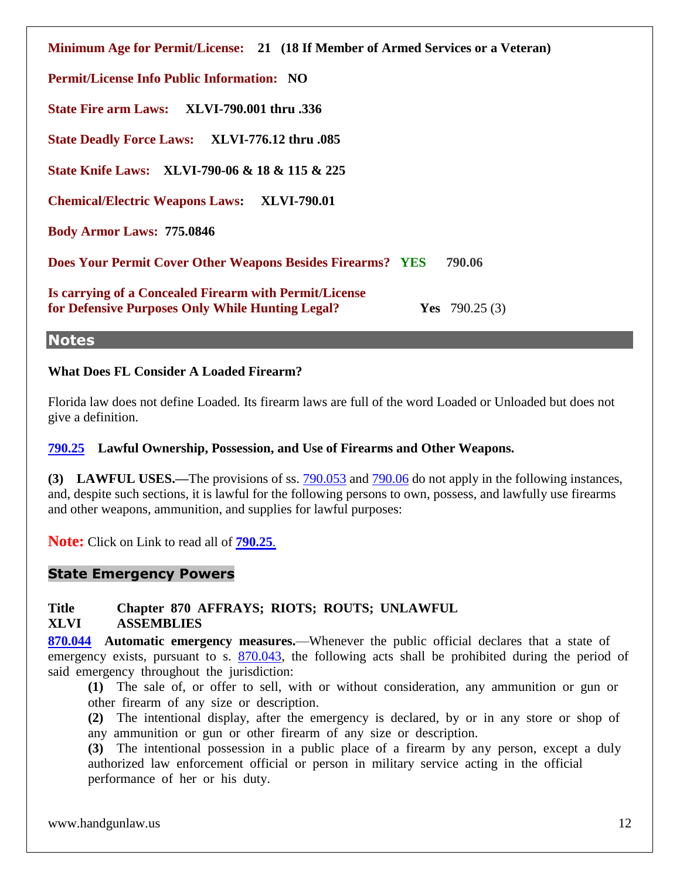| Minimum Age for Permit/License: 21 (18 If Member of Armed Services or a Veteran)                                              |
|-------------------------------------------------------------------------------------------------------------------------------|
| <b>Permit/License Info Public Information: NO</b>                                                                             |
| <b>State Fire arm Laws:</b> XLVI-790.001 thru .336                                                                            |
| <b>State Deadly Force Laws: XLVI-776.12 thru .085</b>                                                                         |
| State Knife Laws: XLVI-790-06 & 18 & 115 & 225                                                                                |
| <b>Chemical/Electric Weapons Laws: XLVI-790.01</b>                                                                            |
| <b>Body Armor Laws: 775.0846</b>                                                                                              |
| <b>Does Your Permit Cover Other Weapons Besides Firearms? YES</b><br>790.06                                                   |
| Is carrying of a Concealed Firearm with Permit/License<br>for Defensive Purposes Only While Hunting Legal?<br>Yes $790.25(3)$ |

#### **Notes**

#### **What Does FL Consider A Loaded Firearm?**

Florida law does not define Loaded. Its firearm laws are full of the word Loaded or Unloaded but does not give a definition.

#### **[790.25](http://www.leg.state.fl.us/statutes/index.cfm?App_mode=Display_Statute&Search_String=&URL=0700-0799/0790/Sections/0790.25.html) Lawful Ownership, Possession, and Use of Firearms and Other Weapons.**

**(3) LAWFUL USES.—**The provisions of ss. [790.053](http://www.leg.state.fl.us/statutes/index.cfm?App_mode=Display_Statute&Search_String=&URL=0700-0799/0790/Sections/0790.053.html) and [790.06](http://www.leg.state.fl.us/statutes/index.cfm?App_mode=Display_Statute&Search_String=&URL=0700-0799/0790/Sections/0790.06.html) do not apply in the following instances, and, despite such sections, it is lawful for the following persons to own, possess, and lawfully use firearms and other weapons, ammunition, and supplies for lawful purposes:

**Note:** Click on Link to read all of **[790.25](http://www.leg.state.fl.us/statutes/index.cfm?App_mode=Display_Statute&Search_String=&URL=0700-0799/0790/Sections/0790.25.html)**.

#### **State Emergency Powers**

#### **Title Chapter 870 AFFRAYS; RIOTS; ROUTS; UNLAWFUL**

#### **XLVI ASSEMBLIES**

**[870.044](http://www.leg.state.fl.us/statutes/index.cfm?App_mode=Display_Statute&Search_String=&URL=0800-0899/0870/Sections/0870.044.html) Automatic emergency measures.**—Whenever the public official declares that a state of emergency exists, pursuant to s.  $870.043$ , the following acts shall be prohibited during the period of said emergency throughout the jurisdiction:

**(1)** The sale of, or offer to sell, with or without consideration, any ammunition or gun or other firearm of any size or description.

**(2)** The intentional display, after the emergency is declared, by or in any store or shop of any ammunition or gun or other firearm of any size or description.

**(3)** The intentional possession in a public place of a firearm by any person, except a duly authorized law enforcement official or person in military service acting in the official performance of her or his duty.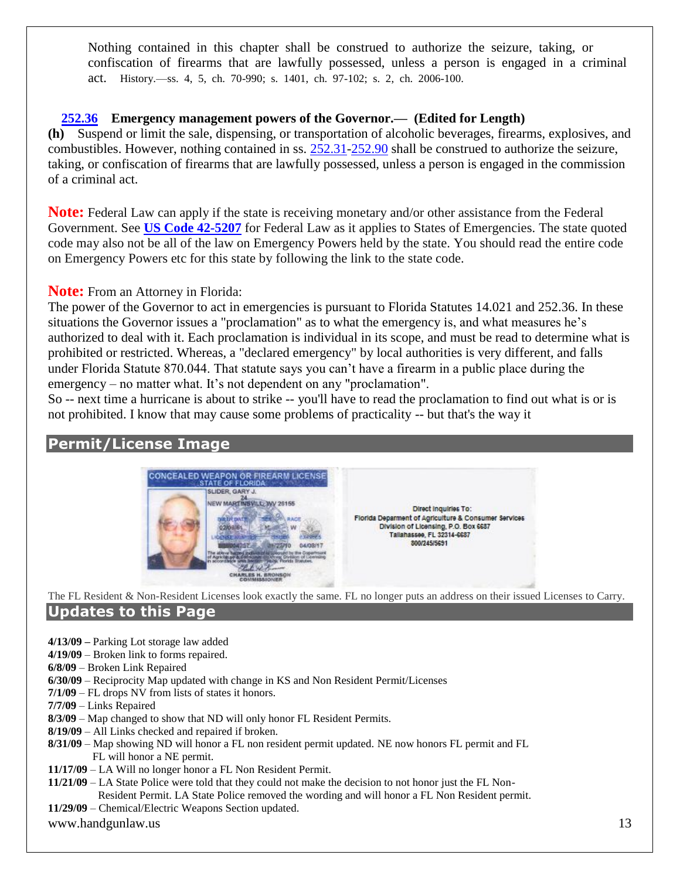Nothing contained in this chapter shall be construed to authorize the seizure, taking, or confiscation of firearms that are lawfully possessed, unless a person is engaged in a criminal act. History.—ss. 4, 5, ch. 70-990; s. 1401, ch. 97-102; s. 2, ch. 2006-100.

### **[252.36](http://www.leg.state.fl.us/statutes/index.cfm?App_mode=Display_Statute&Search_String=&URL=0200-0299/0252/Sections/0252.36.html) Emergency management powers of the Governor.— (Edited for Length)**

**(h)** Suspend or limit the sale, dispensing, or transportation of alcoholic beverages, firearms, explosives, and combustibles. However, nothing contained in ss. [252.31](http://www.leg.state.fl.us/statutes/index.cfm?App_mode=Display_Statute&Search_String=&URL=0200-0299/0252/Sections/0252.31.html)[-252.90](http://www.leg.state.fl.us/statutes/index.cfm?App_mode=Display_Statute&Search_String=&URL=0200-0299/0252/Sections/0252.90.html) shall be construed to authorize the seizure, taking, or confiscation of firearms that are lawfully possessed, unless a person is engaged in the commission of a criminal act.

**Note:** Federal Law can apply if the state is receiving monetary and/or other assistance from the Federal Government. See **[US Code 42-5207](http://www.law.cornell.edu/uscode/text/42/5207)** for Federal Law as it applies to States of Emergencies. The state quoted code may also not be all of the law on Emergency Powers held by the state. You should read the entire code on Emergency Powers etc for this state by following the link to the state code.

#### **Note:** From an Attorney in Florida:

The power of the Governor to act in emergencies is pursuant to Florida Statutes 14.021 and 252.36. In these situations the Governor issues a "proclamation" as to what the emergency is, and what measures he's authorized to deal with it. Each proclamation is individual in its scope, and must be read to determine what is prohibited or restricted. Whereas, a "declared emergency" by local authorities is very different, and falls under Florida Statute 870.044. That statute says you can't have a firearm in a public place during the emergency – no matter what. It's not dependent on any "proclamation".

So -- next time a hurricane is about to strike -- you'll have to read the proclamation to find out what is or is not prohibited. I know that may cause some problems of practicality -- but that's the way it

# **Permit/License Image**



The FL Resident & Non-Resident Licenses look exactly the same. FL no longer puts an address on their issued Licenses to Carry.

# **Updates to this Page**

**4/13/09 –** Parking Lot storage law added

**4/19/09** – Broken link to forms repaired.

**6/8/09** – Broken Link Repaired

**6/30/09** – Reciprocity Map updated with change in KS and Non Resident Permit/Licenses

**7/1/09** – FL drops NV from lists of states it honors.

**7/7/09** – Links Repaired

**8/3/09** – Map changed to show that ND will only honor FL Resident Permits.

- **8/19/09** All Links checked and repaired if broken.
- **8/31/09** Map showing ND will honor a FL non resident permit updated. NE now honors FL permit and FL FL will honor a NE permit.
- **11/17/09** LA Will no longer honor a FL Non Resident Permit.
- **11/21/09** LA State Police were told that they could not make the decision to not honor just the FL Non-

Resident Permit. LA State Police removed the wording and will honor a FL Non Resident permit.

**11/29/09** – Chemical/Electric Weapons Section updated.